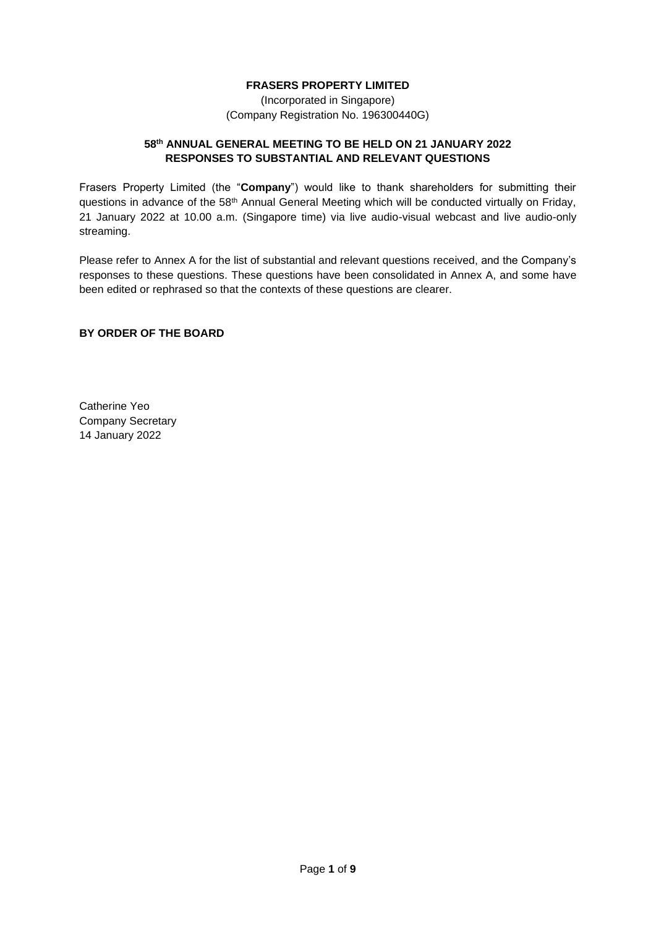## **FRASERS PROPERTY LIMITED**

(Incorporated in Singapore) (Company Registration No. 196300440G)

## **58th ANNUAL GENERAL MEETING TO BE HELD ON 21 JANUARY 2022 RESPONSES TO SUBSTANTIAL AND RELEVANT QUESTIONS**

Frasers Property Limited (the "**Company**") would like to thank shareholders for submitting their questions in advance of the 58<sup>th</sup> Annual General Meeting which will be conducted virtually on Friday, 21 January 2022 at 10.00 a.m. (Singapore time) via live audio-visual webcast and live audio-only streaming.

Please refer to Annex A for the list of substantial and relevant questions received, and the Company's responses to these questions. These questions have been consolidated in Annex A, and some have been edited or rephrased so that the contexts of these questions are clearer.

## **BY ORDER OF THE BOARD**

Catherine Yeo Company Secretary 14 January 2022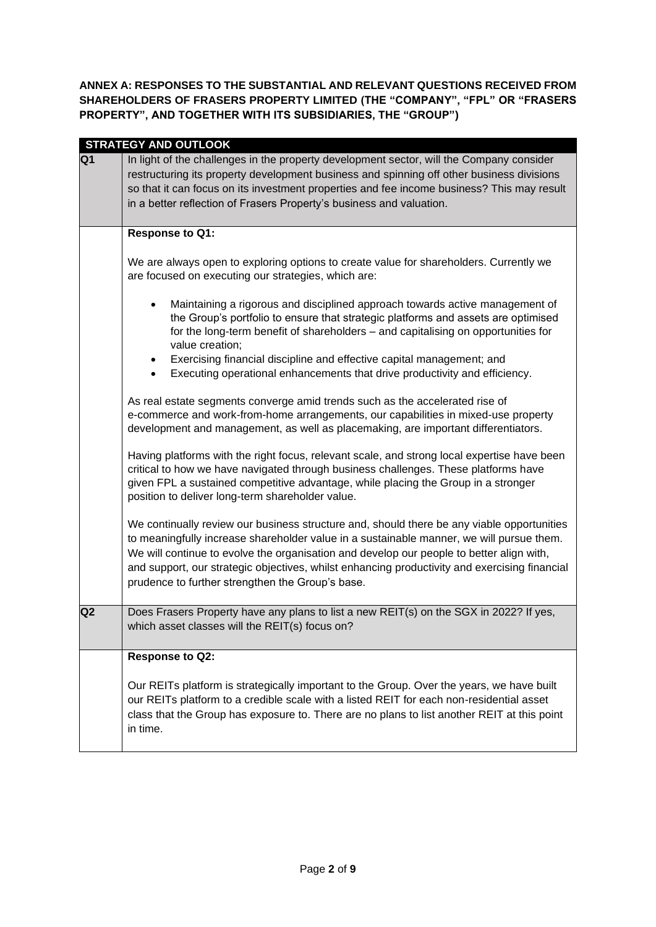**ANNEX A: RESPONSES TO THE SUBSTANTIAL AND RELEVANT QUESTIONS RECEIVED FROM SHAREHOLDERS OF FRASERS PROPERTY LIMITED (THE "COMPANY", "FPL" OR "FRASERS PROPERTY", AND TOGETHER WITH ITS SUBSIDIARIES, THE "GROUP")**

|                | <b>STRATEGY AND OUTLOOK</b>                                                                                                                                                                                                                                                                                                                                                                                                             |
|----------------|-----------------------------------------------------------------------------------------------------------------------------------------------------------------------------------------------------------------------------------------------------------------------------------------------------------------------------------------------------------------------------------------------------------------------------------------|
| Q1             | In light of the challenges in the property development sector, will the Company consider<br>restructuring its property development business and spinning off other business divisions<br>so that it can focus on its investment properties and fee income business? This may result<br>in a better reflection of Frasers Property's business and valuation.                                                                             |
|                | Response to Q1:                                                                                                                                                                                                                                                                                                                                                                                                                         |
|                | We are always open to exploring options to create value for shareholders. Currently we<br>are focused on executing our strategies, which are:                                                                                                                                                                                                                                                                                           |
|                | Maintaining a rigorous and disciplined approach towards active management of<br>$\bullet$<br>the Group's portfolio to ensure that strategic platforms and assets are optimised<br>for the long-term benefit of shareholders - and capitalising on opportunities for<br>value creation;                                                                                                                                                  |
|                | Exercising financial discipline and effective capital management; and<br>Executing operational enhancements that drive productivity and efficiency.<br>$\bullet$                                                                                                                                                                                                                                                                        |
|                | As real estate segments converge amid trends such as the accelerated rise of<br>e-commerce and work-from-home arrangements, our capabilities in mixed-use property<br>development and management, as well as placemaking, are important differentiators.                                                                                                                                                                                |
|                | Having platforms with the right focus, relevant scale, and strong local expertise have been<br>critical to how we have navigated through business challenges. These platforms have<br>given FPL a sustained competitive advantage, while placing the Group in a stronger<br>position to deliver long-term shareholder value.                                                                                                            |
|                | We continually review our business structure and, should there be any viable opportunities<br>to meaningfully increase shareholder value in a sustainable manner, we will pursue them.<br>We will continue to evolve the organisation and develop our people to better align with,<br>and support, our strategic objectives, whilst enhancing productivity and exercising financial<br>prudence to further strengthen the Group's base. |
| Q <sub>2</sub> | Does Frasers Property have any plans to list a new REIT(s) on the SGX in 2022? If yes,<br>which asset classes will the REIT(s) focus on?                                                                                                                                                                                                                                                                                                |
|                | Response to Q2:                                                                                                                                                                                                                                                                                                                                                                                                                         |
|                | Our REITs platform is strategically important to the Group. Over the years, we have built<br>our REITs platform to a credible scale with a listed REIT for each non-residential asset<br>class that the Group has exposure to. There are no plans to list another REIT at this point<br>in time.                                                                                                                                        |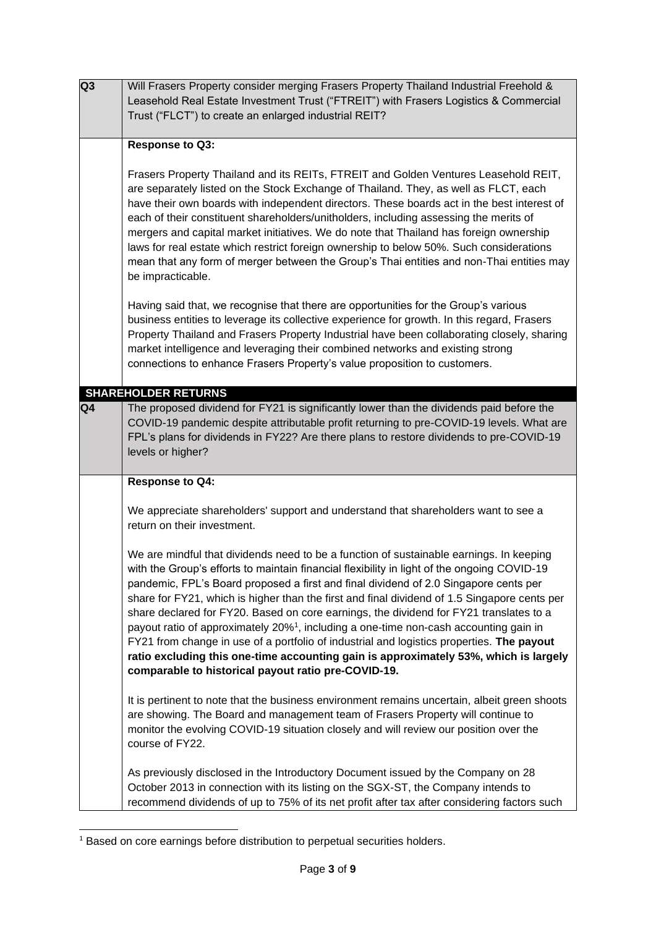| Q3 | Will Frasers Property consider merging Frasers Property Thailand Industrial Freehold &<br>Leasehold Real Estate Investment Trust ("FTREIT") with Frasers Logistics & Commercial<br>Trust ("FLCT") to create an enlarged industrial REIT?                                                                                                                                                                                                                                                                                                                                                                                                                                                                                                                                                                                  |
|----|---------------------------------------------------------------------------------------------------------------------------------------------------------------------------------------------------------------------------------------------------------------------------------------------------------------------------------------------------------------------------------------------------------------------------------------------------------------------------------------------------------------------------------------------------------------------------------------------------------------------------------------------------------------------------------------------------------------------------------------------------------------------------------------------------------------------------|
|    | Response to Q3:                                                                                                                                                                                                                                                                                                                                                                                                                                                                                                                                                                                                                                                                                                                                                                                                           |
|    | Frasers Property Thailand and its REITs, FTREIT and Golden Ventures Leasehold REIT,<br>are separately listed on the Stock Exchange of Thailand. They, as well as FLCT, each<br>have their own boards with independent directors. These boards act in the best interest of<br>each of their constituent shareholders/unitholders, including assessing the merits of<br>mergers and capital market initiatives. We do note that Thailand has foreign ownership<br>laws for real estate which restrict foreign ownership to below 50%. Such considerations<br>mean that any form of merger between the Group's Thai entities and non-Thai entities may<br>be impracticable.                                                                                                                                                  |
|    | Having said that, we recognise that there are opportunities for the Group's various<br>business entities to leverage its collective experience for growth. In this regard, Frasers<br>Property Thailand and Frasers Property Industrial have been collaborating closely, sharing<br>market intelligence and leveraging their combined networks and existing strong<br>connections to enhance Frasers Property's value proposition to customers.                                                                                                                                                                                                                                                                                                                                                                           |
|    | <b>SHAREHOLDER RETURNS</b>                                                                                                                                                                                                                                                                                                                                                                                                                                                                                                                                                                                                                                                                                                                                                                                                |
| Q4 | The proposed dividend for FY21 is significantly lower than the dividends paid before the<br>COVID-19 pandemic despite attributable profit returning to pre-COVID-19 levels. What are<br>FPL's plans for dividends in FY22? Are there plans to restore dividends to pre-COVID-19<br>levels or higher?                                                                                                                                                                                                                                                                                                                                                                                                                                                                                                                      |
|    | Response to Q4:                                                                                                                                                                                                                                                                                                                                                                                                                                                                                                                                                                                                                                                                                                                                                                                                           |
|    | We appreciate shareholders' support and understand that shareholders want to see a<br>return on their investment.                                                                                                                                                                                                                                                                                                                                                                                                                                                                                                                                                                                                                                                                                                         |
|    | We are mindful that dividends need to be a function of sustainable earnings. In keeping<br>with the Group's efforts to maintain financial flexibility in light of the ongoing COVID-19<br>pandemic, FPL's Board proposed a first and final dividend of 2.0 Singapore cents per<br>share for FY21, which is higher than the first and final dividend of 1.5 Singapore cents per<br>share declared for FY20. Based on core earnings, the dividend for FY21 translates to a<br>payout ratio of approximately 20% <sup>1</sup> , including a one-time non-cash accounting gain in<br>FY21 from change in use of a portfolio of industrial and logistics properties. The payout<br>ratio excluding this one-time accounting gain is approximately 53%, which is largely<br>comparable to historical payout ratio pre-COVID-19. |
|    | It is pertinent to note that the business environment remains uncertain, albeit green shoots<br>are showing. The Board and management team of Frasers Property will continue to<br>monitor the evolving COVID-19 situation closely and will review our position over the<br>course of FY22.                                                                                                                                                                                                                                                                                                                                                                                                                                                                                                                               |
|    | As previously disclosed in the Introductory Document issued by the Company on 28<br>October 2013 in connection with its listing on the SGX-ST, the Company intends to<br>recommend dividends of up to 75% of its net profit after tax after considering factors such                                                                                                                                                                                                                                                                                                                                                                                                                                                                                                                                                      |

<sup>1</sup> Based on core earnings before distribution to perpetual securities holders.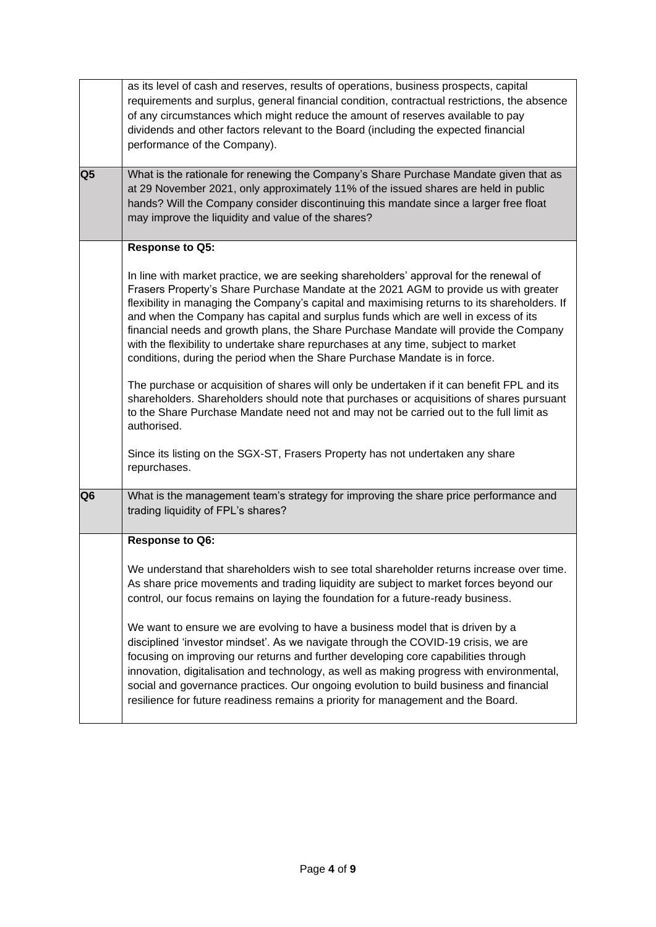| Q <sub>5</sub> | as its level of cash and reserves, results of operations, business prospects, capital<br>requirements and surplus, general financial condition, contractual restrictions, the absence<br>of any circumstances which might reduce the amount of reserves available to pay<br>dividends and other factors relevant to the Board (including the expected financial<br>performance of the Company).<br>What is the rationale for renewing the Company's Share Purchase Mandate given that as<br>at 29 November 2021, only approximately 11% of the issued shares are held in public<br>hands? Will the Company consider discontinuing this mandate since a larger free float<br>may improve the liquidity and value of the shares? |
|----------------|--------------------------------------------------------------------------------------------------------------------------------------------------------------------------------------------------------------------------------------------------------------------------------------------------------------------------------------------------------------------------------------------------------------------------------------------------------------------------------------------------------------------------------------------------------------------------------------------------------------------------------------------------------------------------------------------------------------------------------|
|                |                                                                                                                                                                                                                                                                                                                                                                                                                                                                                                                                                                                                                                                                                                                                |
|                | Response to Q5:                                                                                                                                                                                                                                                                                                                                                                                                                                                                                                                                                                                                                                                                                                                |
|                | In line with market practice, we are seeking shareholders' approval for the renewal of<br>Frasers Property's Share Purchase Mandate at the 2021 AGM to provide us with greater<br>flexibility in managing the Company's capital and maximising returns to its shareholders. If<br>and when the Company has capital and surplus funds which are well in excess of its<br>financial needs and growth plans, the Share Purchase Mandate will provide the Company<br>with the flexibility to undertake share repurchases at any time, subject to market<br>conditions, during the period when the Share Purchase Mandate is in force.                                                                                              |
|                | The purchase or acquisition of shares will only be undertaken if it can benefit FPL and its<br>shareholders. Shareholders should note that purchases or acquisitions of shares pursuant<br>to the Share Purchase Mandate need not and may not be carried out to the full limit as<br>authorised.                                                                                                                                                                                                                                                                                                                                                                                                                               |
|                | Since its listing on the SGX-ST, Frasers Property has not undertaken any share<br>repurchases.                                                                                                                                                                                                                                                                                                                                                                                                                                                                                                                                                                                                                                 |
| Q <sub>6</sub> | What is the management team's strategy for improving the share price performance and<br>trading liquidity of FPL's shares?                                                                                                                                                                                                                                                                                                                                                                                                                                                                                                                                                                                                     |
|                | <b>Response to Q6:</b>                                                                                                                                                                                                                                                                                                                                                                                                                                                                                                                                                                                                                                                                                                         |
|                | We understand that shareholders wish to see total shareholder returns increase over time.<br>As share price movements and trading liquidity are subject to market forces beyond our<br>control, our focus remains on laying the foundation for a future-ready business.                                                                                                                                                                                                                                                                                                                                                                                                                                                        |
|                | We want to ensure we are evolving to have a business model that is driven by a<br>disciplined 'investor mindset'. As we navigate through the COVID-19 crisis, we are<br>focusing on improving our returns and further developing core capabilities through<br>innovation, digitalisation and technology, as well as making progress with environmental,<br>social and governance practices. Our ongoing evolution to build business and financial<br>resilience for future readiness remains a priority for management and the Board.                                                                                                                                                                                          |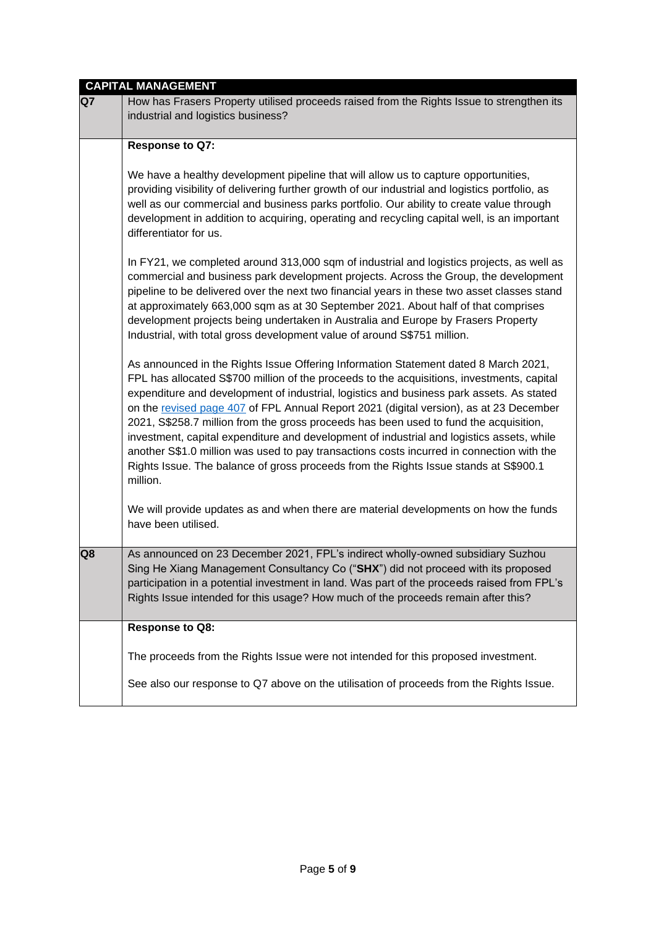|    | <b>CAPITAL MANAGEMENT</b>                                                                                                                                                                                                                                                                                                                                                                                                                                                                                                                                                                                                                                                                                                                                      |
|----|----------------------------------------------------------------------------------------------------------------------------------------------------------------------------------------------------------------------------------------------------------------------------------------------------------------------------------------------------------------------------------------------------------------------------------------------------------------------------------------------------------------------------------------------------------------------------------------------------------------------------------------------------------------------------------------------------------------------------------------------------------------|
| Q7 | How has Frasers Property utilised proceeds raised from the Rights Issue to strengthen its<br>industrial and logistics business?                                                                                                                                                                                                                                                                                                                                                                                                                                                                                                                                                                                                                                |
|    | Response to Q7:                                                                                                                                                                                                                                                                                                                                                                                                                                                                                                                                                                                                                                                                                                                                                |
|    | We have a healthy development pipeline that will allow us to capture opportunities,<br>providing visibility of delivering further growth of our industrial and logistics portfolio, as<br>well as our commercial and business parks portfolio. Our ability to create value through<br>development in addition to acquiring, operating and recycling capital well, is an important<br>differentiator for us.                                                                                                                                                                                                                                                                                                                                                    |
|    | In FY21, we completed around 313,000 sqm of industrial and logistics projects, as well as<br>commercial and business park development projects. Across the Group, the development<br>pipeline to be delivered over the next two financial years in these two asset classes stand<br>at approximately 663,000 sqm as at 30 September 2021. About half of that comprises<br>development projects being undertaken in Australia and Europe by Frasers Property<br>Industrial, with total gross development value of around S\$751 million.                                                                                                                                                                                                                        |
|    | As announced in the Rights Issue Offering Information Statement dated 8 March 2021,<br>FPL has allocated S\$700 million of the proceeds to the acquisitions, investments, capital<br>expenditure and development of industrial, logistics and business park assets. As stated<br>on the revised page 407 of FPL Annual Report 2021 (digital version), as at 23 December<br>2021, S\$258.7 million from the gross proceeds has been used to fund the acquisition,<br>investment, capital expenditure and development of industrial and logistics assets, while<br>another S\$1.0 million was used to pay transactions costs incurred in connection with the<br>Rights Issue. The balance of gross proceeds from the Rights Issue stands at S\$900.1<br>million. |
|    | We will provide updates as and when there are material developments on how the funds<br>have been utilised.                                                                                                                                                                                                                                                                                                                                                                                                                                                                                                                                                                                                                                                    |
| Q8 | As announced on 23 December 2021, FPL's indirect wholly-owned subsidiary Suzhou<br>Sing He Xiang Management Consultancy Co ("SHX") did not proceed with its proposed<br>participation in a potential investment in land. Was part of the proceeds raised from FPL's<br>Rights Issue intended for this usage? How much of the proceeds remain after this?                                                                                                                                                                                                                                                                                                                                                                                                       |
|    | Response to Q8:                                                                                                                                                                                                                                                                                                                                                                                                                                                                                                                                                                                                                                                                                                                                                |
|    | The proceeds from the Rights Issue were not intended for this proposed investment.                                                                                                                                                                                                                                                                                                                                                                                                                                                                                                                                                                                                                                                                             |
|    | See also our response to Q7 above on the utilisation of proceeds from the Rights Issue.                                                                                                                                                                                                                                                                                                                                                                                                                                                                                                                                                                                                                                                                        |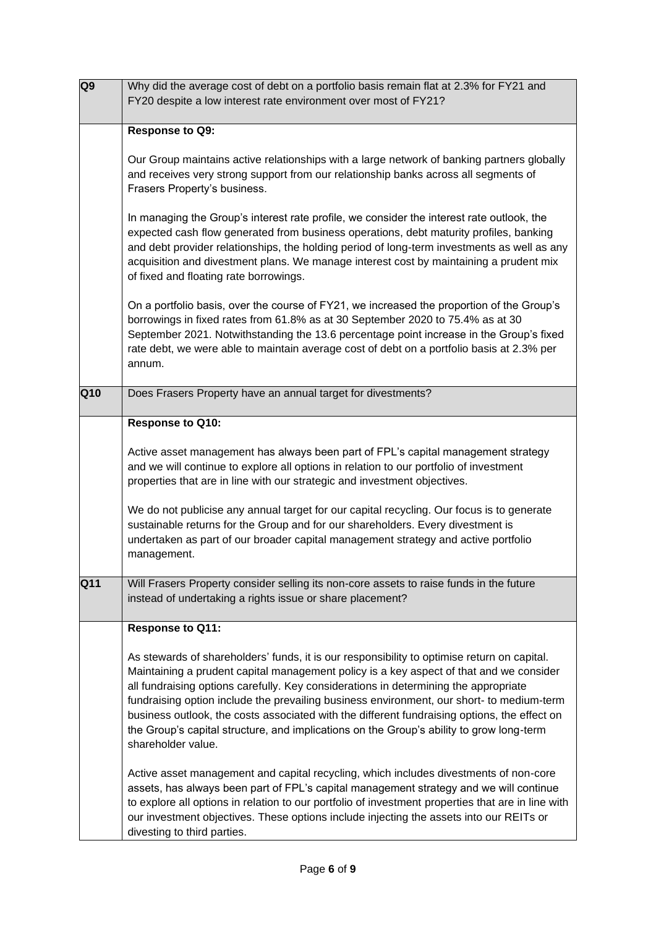| Q <sub>9</sub>  | Why did the average cost of debt on a portfolio basis remain flat at 2.3% for FY21 and<br>FY20 despite a low interest rate environment over most of FY21?                                                                                                                                                                                                                                                                                                                                                                                                                                     |
|-----------------|-----------------------------------------------------------------------------------------------------------------------------------------------------------------------------------------------------------------------------------------------------------------------------------------------------------------------------------------------------------------------------------------------------------------------------------------------------------------------------------------------------------------------------------------------------------------------------------------------|
|                 | Response to Q9:                                                                                                                                                                                                                                                                                                                                                                                                                                                                                                                                                                               |
|                 | Our Group maintains active relationships with a large network of banking partners globally<br>and receives very strong support from our relationship banks across all segments of<br>Frasers Property's business.                                                                                                                                                                                                                                                                                                                                                                             |
|                 | In managing the Group's interest rate profile, we consider the interest rate outlook, the<br>expected cash flow generated from business operations, debt maturity profiles, banking<br>and debt provider relationships, the holding period of long-term investments as well as any<br>acquisition and divestment plans. We manage interest cost by maintaining a prudent mix<br>of fixed and floating rate borrowings.                                                                                                                                                                        |
|                 | On a portfolio basis, over the course of FY21, we increased the proportion of the Group's<br>borrowings in fixed rates from 61.8% as at 30 September 2020 to 75.4% as at 30<br>September 2021. Notwithstanding the 13.6 percentage point increase in the Group's fixed<br>rate debt, we were able to maintain average cost of debt on a portfolio basis at 2.3% per<br>annum.                                                                                                                                                                                                                 |
| Q10             | Does Frasers Property have an annual target for divestments?                                                                                                                                                                                                                                                                                                                                                                                                                                                                                                                                  |
|                 | Response to Q10:                                                                                                                                                                                                                                                                                                                                                                                                                                                                                                                                                                              |
|                 | Active asset management has always been part of FPL's capital management strategy<br>and we will continue to explore all options in relation to our portfolio of investment<br>properties that are in line with our strategic and investment objectives.                                                                                                                                                                                                                                                                                                                                      |
|                 | We do not publicise any annual target for our capital recycling. Our focus is to generate<br>sustainable returns for the Group and for our shareholders. Every divestment is<br>undertaken as part of our broader capital management strategy and active portfolio<br>management.                                                                                                                                                                                                                                                                                                             |
| Q <sub>11</sub> | Will Frasers Property consider selling its non-core assets to raise funds in the future<br>instead of undertaking a rights issue or share placement?                                                                                                                                                                                                                                                                                                                                                                                                                                          |
|                 | Response to Q11:                                                                                                                                                                                                                                                                                                                                                                                                                                                                                                                                                                              |
|                 | As stewards of shareholders' funds, it is our responsibility to optimise return on capital.<br>Maintaining a prudent capital management policy is a key aspect of that and we consider<br>all fundraising options carefully. Key considerations in determining the appropriate<br>fundraising option include the prevailing business environment, our short- to medium-term<br>business outlook, the costs associated with the different fundraising options, the effect on<br>the Group's capital structure, and implications on the Group's ability to grow long-term<br>shareholder value. |
|                 | Active asset management and capital recycling, which includes divestments of non-core<br>assets, has always been part of FPL's capital management strategy and we will continue<br>to explore all options in relation to our portfolio of investment properties that are in line with<br>our investment objectives. These options include injecting the assets into our REITs or<br>divesting to third parties.                                                                                                                                                                               |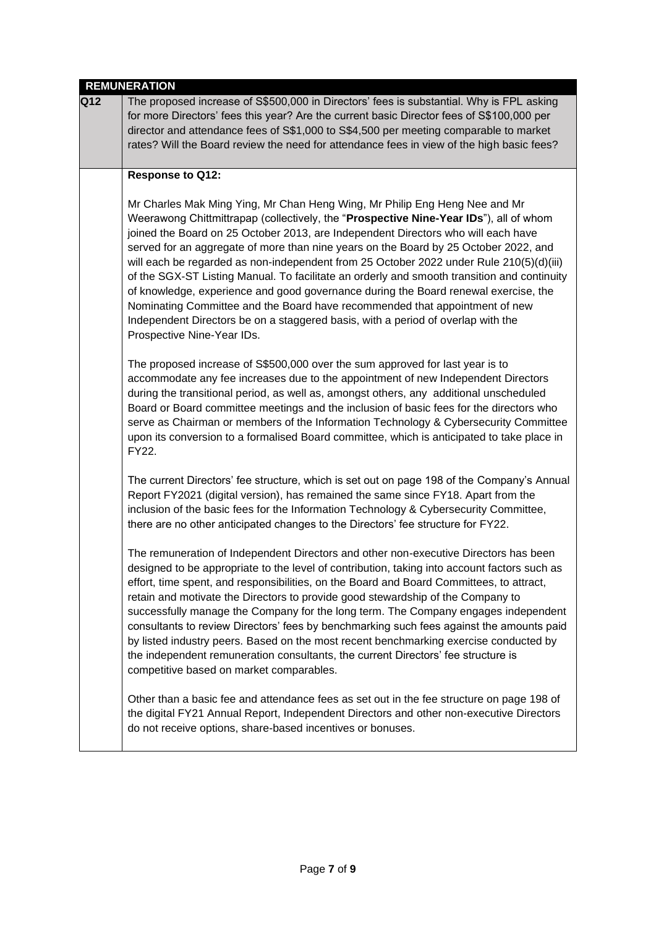|     | <b>REMUNERATION</b>                                                                                                                                                                                                                                                                                                                                                                                                                                                                                                                                                                                                                                                                                                                                                                                                                |
|-----|------------------------------------------------------------------------------------------------------------------------------------------------------------------------------------------------------------------------------------------------------------------------------------------------------------------------------------------------------------------------------------------------------------------------------------------------------------------------------------------------------------------------------------------------------------------------------------------------------------------------------------------------------------------------------------------------------------------------------------------------------------------------------------------------------------------------------------|
| Q12 | The proposed increase of S\$500,000 in Directors' fees is substantial. Why is FPL asking<br>for more Directors' fees this year? Are the current basic Director fees of S\$100,000 per<br>director and attendance fees of S\$1,000 to S\$4,500 per meeting comparable to market<br>rates? Will the Board review the need for attendance fees in view of the high basic fees?                                                                                                                                                                                                                                                                                                                                                                                                                                                        |
|     | Response to Q12:                                                                                                                                                                                                                                                                                                                                                                                                                                                                                                                                                                                                                                                                                                                                                                                                                   |
|     | Mr Charles Mak Ming Ying, Mr Chan Heng Wing, Mr Philip Eng Heng Nee and Mr<br>Weerawong Chittmittrapap (collectively, the "Prospective Nine-Year IDs"), all of whom<br>joined the Board on 25 October 2013, are Independent Directors who will each have<br>served for an aggregate of more than nine years on the Board by 25 October 2022, and<br>will each be regarded as non-independent from 25 October 2022 under Rule 210(5)(d)(iii)<br>of the SGX-ST Listing Manual. To facilitate an orderly and smooth transition and continuity<br>of knowledge, experience and good governance during the Board renewal exercise, the<br>Nominating Committee and the Board have recommended that appointment of new<br>Independent Directors be on a staggered basis, with a period of overlap with the<br>Prospective Nine-Year IDs. |
|     | The proposed increase of S\$500,000 over the sum approved for last year is to<br>accommodate any fee increases due to the appointment of new Independent Directors<br>during the transitional period, as well as, amongst others, any additional unscheduled<br>Board or Board committee meetings and the inclusion of basic fees for the directors who<br>serve as Chairman or members of the Information Technology & Cybersecurity Committee<br>upon its conversion to a formalised Board committee, which is anticipated to take place in<br>FY22.                                                                                                                                                                                                                                                                             |
|     | The current Directors' fee structure, which is set out on page 198 of the Company's Annual<br>Report FY2021 (digital version), has remained the same since FY18. Apart from the<br>inclusion of the basic fees for the Information Technology & Cybersecurity Committee,<br>there are no other anticipated changes to the Directors' fee structure for FY22.                                                                                                                                                                                                                                                                                                                                                                                                                                                                       |
|     | The remuneration of Independent Directors and other non-executive Directors has been<br>designed to be appropriate to the level of contribution, taking into account factors such as<br>effort, time spent, and responsibilities, on the Board and Board Committees, to attract,<br>retain and motivate the Directors to provide good stewardship of the Company to<br>successfully manage the Company for the long term. The Company engages independent<br>consultants to review Directors' fees by benchmarking such fees against the amounts paid<br>by listed industry peers. Based on the most recent benchmarking exercise conducted by<br>the independent remuneration consultants, the current Directors' fee structure is<br>competitive based on market comparables.                                                    |
|     | Other than a basic fee and attendance fees as set out in the fee structure on page 198 of<br>the digital FY21 Annual Report, Independent Directors and other non-executive Directors<br>do not receive options, share-based incentives or bonuses.                                                                                                                                                                                                                                                                                                                                                                                                                                                                                                                                                                                 |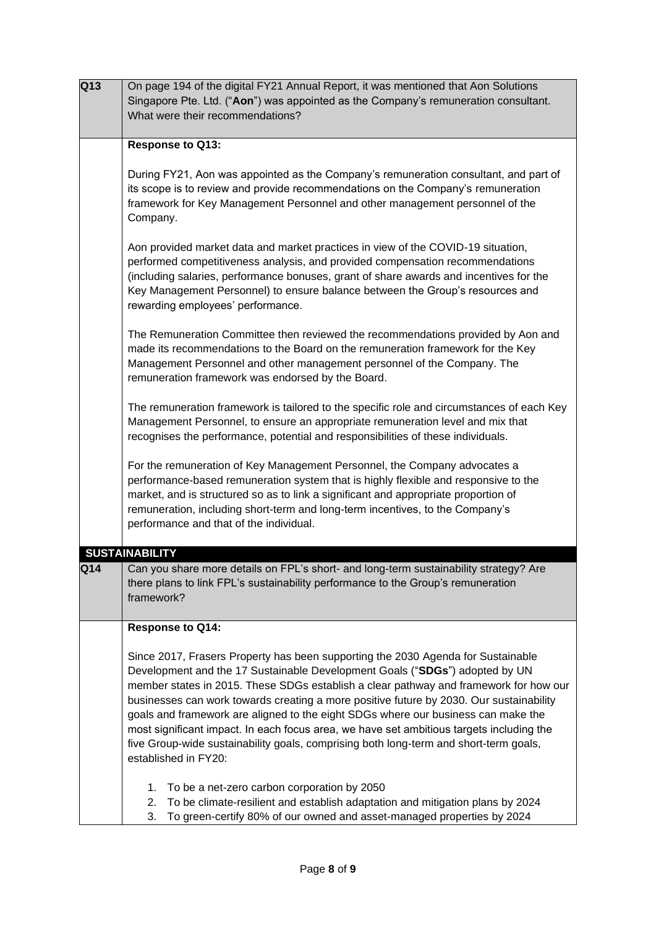| Q13 | On page 194 of the digital FY21 Annual Report, it was mentioned that Aon Solutions                                                                                  |
|-----|---------------------------------------------------------------------------------------------------------------------------------------------------------------------|
|     | Singapore Pte. Ltd. ("Aon") was appointed as the Company's remuneration consultant.                                                                                 |
|     | What were their recommendations?                                                                                                                                    |
|     |                                                                                                                                                                     |
|     | Response to Q13:                                                                                                                                                    |
|     |                                                                                                                                                                     |
|     | During FY21, Aon was appointed as the Company's remuneration consultant, and part of                                                                                |
|     | its scope is to review and provide recommendations on the Company's remuneration                                                                                    |
|     | framework for Key Management Personnel and other management personnel of the                                                                                        |
|     | Company.                                                                                                                                                            |
|     |                                                                                                                                                                     |
|     | Aon provided market data and market practices in view of the COVID-19 situation,                                                                                    |
|     | performed competitiveness analysis, and provided compensation recommendations                                                                                       |
|     | (including salaries, performance bonuses, grant of share awards and incentives for the                                                                              |
|     | Key Management Personnel) to ensure balance between the Group's resources and                                                                                       |
|     | rewarding employees' performance.                                                                                                                                   |
|     |                                                                                                                                                                     |
|     | The Remuneration Committee then reviewed the recommendations provided by Aon and<br>made its recommendations to the Board on the remuneration framework for the Key |
|     | Management Personnel and other management personnel of the Company. The                                                                                             |
|     | remuneration framework was endorsed by the Board.                                                                                                                   |
|     |                                                                                                                                                                     |
|     | The remuneration framework is tailored to the specific role and circumstances of each Key                                                                           |
|     | Management Personnel, to ensure an appropriate remuneration level and mix that                                                                                      |
|     | recognises the performance, potential and responsibilities of these individuals.                                                                                    |
|     |                                                                                                                                                                     |
|     | For the remuneration of Key Management Personnel, the Company advocates a                                                                                           |
|     | performance-based remuneration system that is highly flexible and responsive to the                                                                                 |
|     | market, and is structured so as to link a significant and appropriate proportion of                                                                                 |
|     | remuneration, including short-term and long-term incentives, to the Company's                                                                                       |
|     | performance and that of the individual.                                                                                                                             |
|     |                                                                                                                                                                     |
|     | <b>SUSTAINABILITY</b>                                                                                                                                               |
| Q14 | Can you share more details on FPL's short- and long-term sustainability strategy? Are                                                                               |
|     | there plans to link FPL's sustainability performance to the Group's remuneration                                                                                    |
|     | framework?                                                                                                                                                          |
|     | <b>Response to Q14:</b>                                                                                                                                             |
|     |                                                                                                                                                                     |
|     | Since 2017, Frasers Property has been supporting the 2030 Agenda for Sustainable                                                                                    |
|     | Development and the 17 Sustainable Development Goals ("SDGs") adopted by UN                                                                                         |
|     | member states in 2015. These SDGs establish a clear pathway and framework for how our                                                                               |
|     | businesses can work towards creating a more positive future by 2030. Our sustainability                                                                             |
|     | goals and framework are aligned to the eight SDGs where our business can make the                                                                                   |
|     | most significant impact. In each focus area, we have set ambitious targets including the                                                                            |
|     | five Group-wide sustainability goals, comprising both long-term and short-term goals,                                                                               |
|     | established in FY20:                                                                                                                                                |
|     |                                                                                                                                                                     |
|     | To be a net-zero carbon corporation by 2050<br>1.                                                                                                                   |
|     | To be climate-resilient and establish adaptation and mitigation plans by 2024<br>2.                                                                                 |
|     | To green-certify 80% of our owned and asset-managed properties by 2024<br>3.                                                                                        |